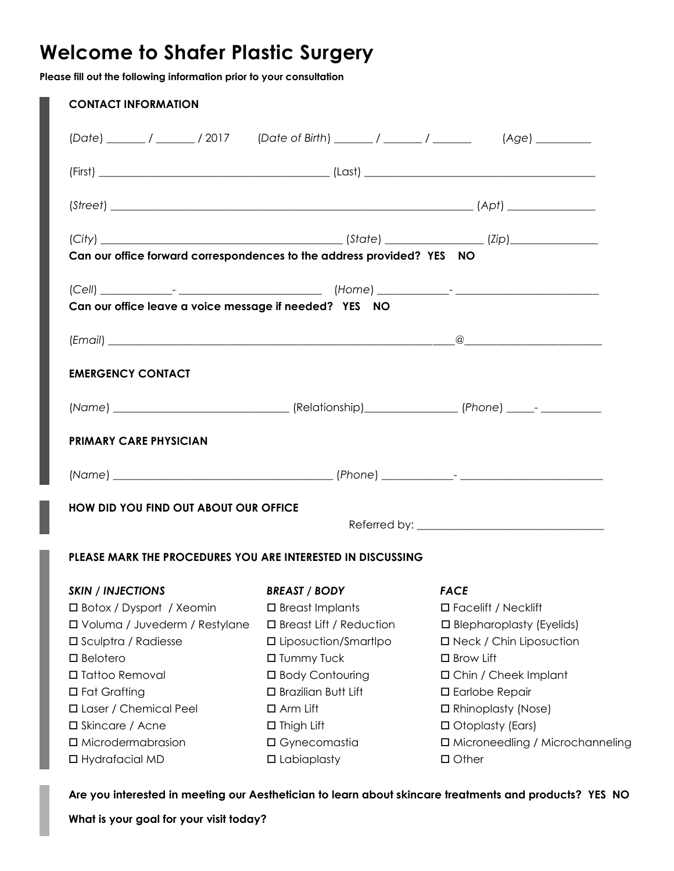## **Welcome to Shafer Plastic Surgery**

**Please fill out the following information prior to your consultation** 

| <b>CONTACT INFORMATION</b>                                                           |                           |                                   |  |  |  |
|--------------------------------------------------------------------------------------|---------------------------|-----------------------------------|--|--|--|
| (Date) ______ / ______ / 2017 (Date of Birth) ______ / ______ / ______ (Age) _______ |                           |                                   |  |  |  |
|                                                                                      |                           |                                   |  |  |  |
| $(Stree1)$ $(Ap1)$                                                                   |                           |                                   |  |  |  |
|                                                                                      |                           |                                   |  |  |  |
| $(City)$ $(Xip)$                                                                     |                           |                                   |  |  |  |
| Can our office forward correspondences to the address provided? YES NO               |                           |                                   |  |  |  |
|                                                                                      |                           |                                   |  |  |  |
| Can our office leave a voice message if needed? YES NO                               |                           |                                   |  |  |  |
|                                                                                      |                           |                                   |  |  |  |
|                                                                                      |                           |                                   |  |  |  |
| <b>EMERGENCY CONTACT</b>                                                             |                           |                                   |  |  |  |
|                                                                                      |                           |                                   |  |  |  |
| <b>PRIMARY CARE PHYSICIAN</b>                                                        |                           |                                   |  |  |  |
|                                                                                      |                           |                                   |  |  |  |
| <b>HOW DID YOU FIND OUT ABOUT OUR OFFICE</b>                                         |                           |                                   |  |  |  |
|                                                                                      |                           |                                   |  |  |  |
| <b>PLEASE MARK THE PROCEDURES YOU ARE INTERESTED IN DISCUSSING</b>                   |                           |                                   |  |  |  |
| <b>SKIN / INJECTIONS</b>                                                             | <b>BREAST / BODY</b>      | <b>FACE</b>                       |  |  |  |
| □ Botox / Dysport / Xeomin                                                           | $\square$ Breast Implants | $\Box$ Facelift / Necklift        |  |  |  |
| □ Voluma / Juvederm / Restylane                                                      | □ Breast Lift / Reduction | □ Blepharoplasty (Eyelids)        |  |  |  |
| □ Sculptra / Radiesse                                                                | □ Liposuction/SmartIpo    | □ Neck / Chin Liposuction         |  |  |  |
| $\square$ Belotero                                                                   | □ Tummy Tuck              | $\square$ Brow Lift               |  |  |  |
| □ Tattoo Removal                                                                     | □ Body Contouring         | □ Chin / Cheek Implant            |  |  |  |
| □ Fat Grafting                                                                       | □ Brazilian Butt Lift     | □ Earlobe Repair                  |  |  |  |
| □ Laser / Chemical Peel                                                              | $\Box$ Arm Lift           | □ Rhinoplasty (Nose)              |  |  |  |
| $\square$ Skincare / Acne                                                            | $\Box$ Thigh Lift         | $\Box$ Otoplasty (Ears)           |  |  |  |
| $\Box$ Microdermabrasion                                                             | $\square$ Gynecomastia    | □ Microneedling / Microchanneling |  |  |  |
| □ Hydrafacial MD                                                                     | $\Box$ Labiaplasty        | $\Box$ Other                      |  |  |  |

**Are you interested in meeting our Aesthetician to learn about skincare treatments and products? YES NO** 

**What is your goal for your visit today?**